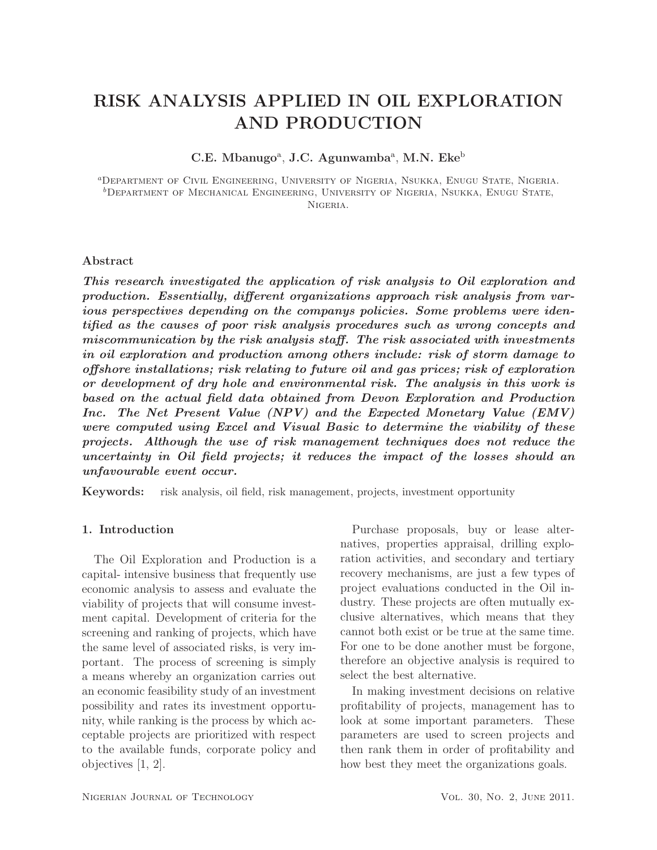# RISK ANALYSIS APPLIED IN OIL EXPLORATION AND PRODUCTION

C.E. Mbanugo<sup>a</sup>, J.C. Agunwamba<sup>a</sup>, M.N. Eke<sup>b</sup>

<sup>a</sup>Department of Civil Engineering, University of Nigeria, Nsukka, Enugu State, Nigeria.  ${}^b$ Department of Mechanical Engineering, University of Nigeria, Nsukka, Enugu State, Nigeria.

# Abstract

*This research investigated the application of risk analysis to Oil exploration and production. Essentially, different organizations approach risk analysis from various perspectives depending on the companys policies. Some problems were identified as the causes of poor risk analysis procedures such as wrong concepts and miscommunication by the risk analysis staff. The risk associated with investments in oil exploration and production among others include: risk of storm damage to offshore installations; risk relating to future oil and gas prices; risk of exploration or development of dry hole and environmental risk. The analysis in this work is based on the actual field data obtained from Devon Exploration and Production Inc. The Net Present Value (NPV) and the Expected Monetary Value (EMV) were computed using Excel and Visual Basic to determine the viability of these projects. Although the use of risk management techniques does not reduce the uncertainty in Oil field projects; it reduces the impact of the losses should an unfavourable event occur.*

Keywords: risk analysis, oil field, risk management, projects, investment opportunity

# 1. Introduction

The Oil Exploration and Production is a capital- intensive business that frequently use economic analysis to assess and evaluate the viability of projects that will consume investment capital. Development of criteria for the screening and ranking of projects, which have the same level of associated risks, is very important. The process of screening is simply a means whereby an organization carries out an economic feasibility study of an investment possibility and rates its investment opportunity, while ranking is the process by which acceptable projects are prioritized with respect to the available funds, corporate policy and objectives [1, 2].

Purchase proposals, buy or lease alternatives, properties appraisal, drilling exploration activities, and secondary and tertiary recovery mechanisms, are just a few types of project evaluations conducted in the Oil industry. These projects are often mutually exclusive alternatives, which means that they cannot both exist or be true at the same time. For one to be done another must be forgone, therefore an objective analysis is required to select the best alternative.

In making investment decisions on relative profitability of projects, management has to look at some important parameters. These parameters are used to screen projects and then rank them in order of profitability and how best they meet the organizations goals.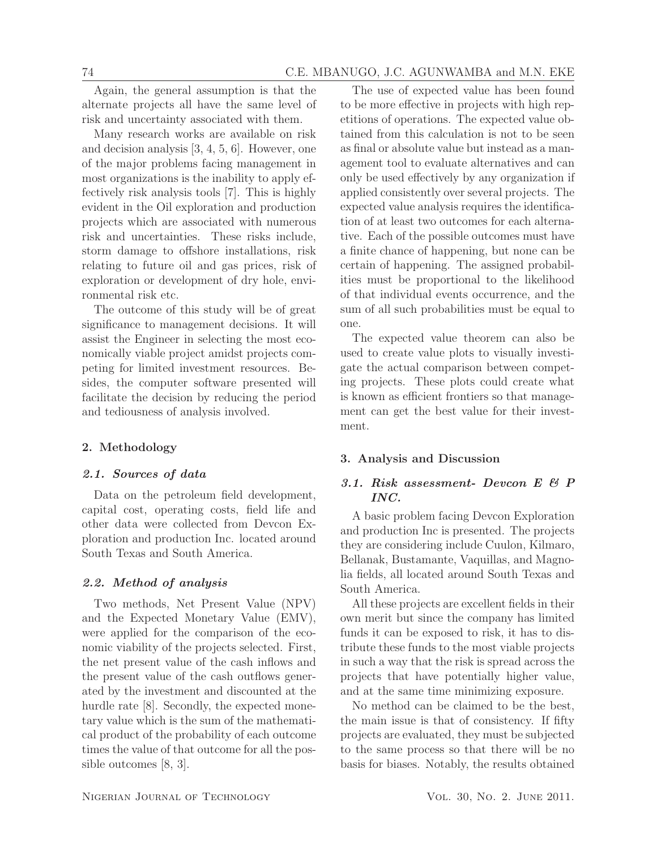Again, the general assumption is that the alternate projects all have the same level of risk and uncertainty associated with them.

Many research works are available on risk and decision analysis [3, 4, 5, 6]. However, one of the major problems facing management in most organizations is the inability to apply effectively risk analysis tools [7]. This is highly evident in the Oil exploration and production projects which are associated with numerous risk and uncertainties. These risks include, storm damage to offshore installations, risk relating to future oil and gas prices, risk of exploration or development of dry hole, environmental risk etc.

The outcome of this study will be of great significance to management decisions. It will assist the Engineer in selecting the most economically viable project amidst projects competing for limited investment resources. Besides, the computer software presented will facilitate the decision by reducing the period and tediousness of analysis involved.

# 2. Methodology

# *2.1. Sources of data*

Data on the petroleum field development, capital cost, operating costs, field life and other data were collected from Devcon Exploration and production Inc. located around South Texas and South America.

# *2.2. Method of analysis*

Two methods, Net Present Value (NPV) and the Expected Monetary Value (EMV), were applied for the comparison of the economic viability of the projects selected. First, the net present value of the cash inflows and the present value of the cash outflows generated by the investment and discounted at the hurdle rate [8]. Secondly, the expected monetary value which is the sum of the mathematical product of the probability of each outcome times the value of that outcome for all the possible outcomes [8, 3].

The use of expected value has been found to be more effective in projects with high repetitions of operations. The expected value obtained from this calculation is not to be seen as final or absolute value but instead as a management tool to evaluate alternatives and can only be used effectively by any organization if applied consistently over several projects. The expected value analysis requires the identification of at least two outcomes for each alternative. Each of the possible outcomes must have a finite chance of happening, but none can be certain of happening. The assigned probabilities must be proportional to the likelihood of that individual events occurrence, and the sum of all such probabilities must be equal to one.

The expected value theorem can also be used to create value plots to visually investigate the actual comparison between competing projects. These plots could create what is known as efficient frontiers so that management can get the best value for their investment.

#### 3. Analysis and Discussion

# *3.1. Risk assessment- Devcon E & P INC.*

A basic problem facing Devcon Exploration and production Inc is presented. The projects they are considering include Cuulon, Kilmaro, Bellanak, Bustamante, Vaquillas, and Magnolia fields, all located around South Texas and South America.

All these projects are excellent fields in their own merit but since the company has limited funds it can be exposed to risk, it has to distribute these funds to the most viable projects in such a way that the risk is spread across the projects that have potentially higher value, and at the same time minimizing exposure.

No method can be claimed to be the best, the main issue is that of consistency. If fifty projects are evaluated, they must be subjected to the same process so that there will be no basis for biases. Notably, the results obtained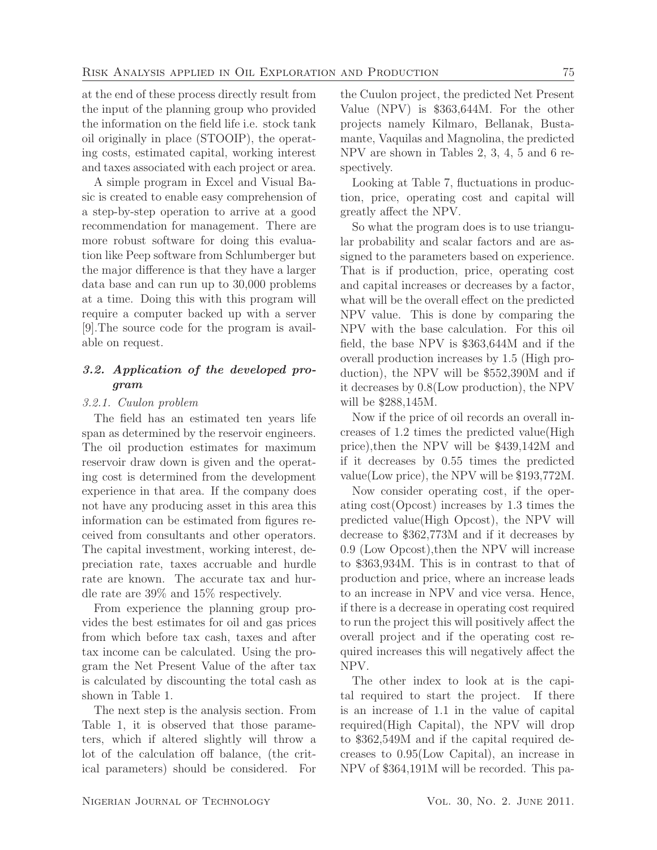at the end of these process directly result from the input of the planning group who provided the information on the field life i.e. stock tank oil originally in place (STOOIP), the operating costs, estimated capital, working interest and taxes associated with each project or area.

A simple program in Excel and Visual Basic is created to enable easy comprehension of a step-by-step operation to arrive at a good recommendation for management. There are more robust software for doing this evaluation like Peep software from Schlumberger but the major difference is that they have a larger data base and can run up to 30,000 problems at a time. Doing this with this program will require a computer backed up with a server [9].The source code for the program is available on request.

# *3.2. Application of the developed program*

#### 3.2.1. Cuulon problem

The field has an estimated ten years life span as determined by the reservoir engineers. The oil production estimates for maximum reservoir draw down is given and the operating cost is determined from the development experience in that area. If the company does not have any producing asset in this area this information can be estimated from figures received from consultants and other operators. The capital investment, working interest, depreciation rate, taxes accruable and hurdle rate are known. The accurate tax and hurdle rate are 39% and 15% respectively.

From experience the planning group provides the best estimates for oil and gas prices from which before tax cash, taxes and after tax income can be calculated. Using the program the Net Present Value of the after tax is calculated by discounting the total cash as shown in Table 1.

The next step is the analysis section. From Table 1, it is observed that those parameters, which if altered slightly will throw a lot of the calculation off balance, (the critical parameters) should be considered. For

the Cuulon project, the predicted Net Present Value (NPV) is 363,644M. For the other projects namely Kilmaro, Bellanak, Bustamante, Vaquilas and Magnolina, the predicted NPV are shown in Tables 2, 3, 4, 5 and 6 respectively.

Looking at Table 7, fluctuations in production, price, operating cost and capital will greatly affect the NPV.

So what the program does is to use triangular probability and scalar factors and are assigned to the parameters based on experience. That is if production, price, operating cost and capital increases or decreases by a factor, what will be the overall effect on the predicted NPV value. This is done by comparing the NPV with the base calculation. For this oil field, the base NPV is 363,644M and if the overall production increases by 1.5 (High production), the NPV will be 552,390M and if it decreases by 0.8(Low production), the NPV will be 288,145M.

Now if the price of oil records an overall increases of 1.2 times the predicted value(High price),then the NPV will be 439,142M and if it decreases by 0.55 times the predicted value(Low price), the NPV will be  $$193,772M$ .

Now consider operating cost, if the operating cost(Opcost) increases by 1.3 times the predicted value(High Opcost), the NPV will decrease to 362,773M and if it decreases by 0.9 (Low Opcost),then the NPV will increase to 363,934M. This is in contrast to that of production and price, where an increase leads to an increase in NPV and vice versa. Hence, if there is a decrease in operating cost required to run the project this will positively affect the overall project and if the operating cost required increases this will negatively affect the NPV.

The other index to look at is the capital required to start the project. If there is an increase of 1.1 in the value of capital required(High Capital), the NPV will drop to 362,549M and if the capital required decreases to 0.95(Low Capital), an increase in NPV of 364,191M will be recorded. This pa-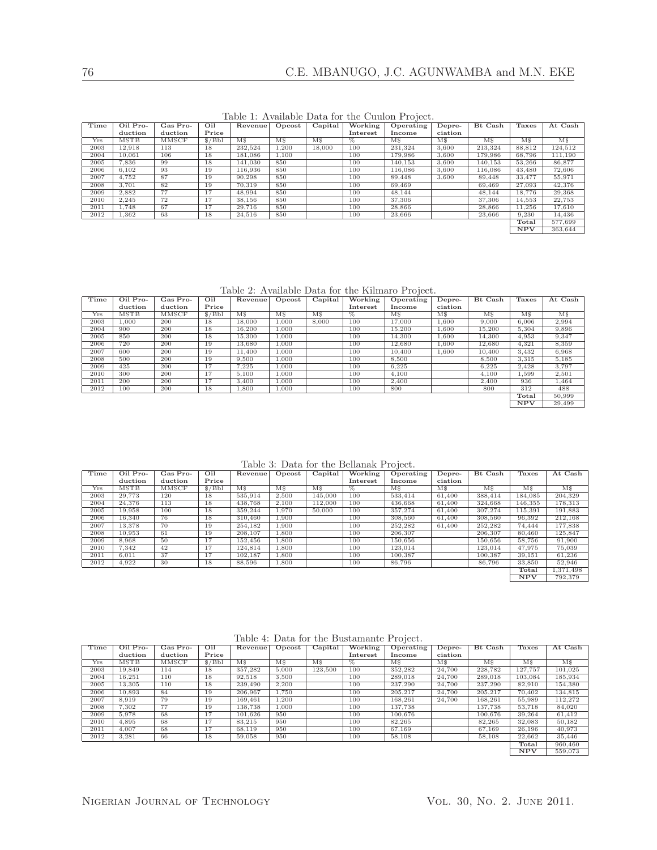Table 1: Available Data for the Cuulon Project.

| Time | Oil Pro-    | Gas Pro- | Oil    | Revenue <sup>1</sup> | Opcost         | Capital        | Working  | $\cdot$<br>Operating | Depre-         | Bt Cash        | Taxes          | At Cash                |
|------|-------------|----------|--------|----------------------|----------------|----------------|----------|----------------------|----------------|----------------|----------------|------------------------|
|      | duction     | duction  | Price  |                      |                |                | Interest | Income               | ciation        |                |                |                        |
| Yrs  | <b>MSTB</b> | MMSCF    | \$/Bbl | $\overline{\rm MS}$  | M <sub>s</sub> | M <sub>s</sub> | $\%$     | M <sub>s</sub>       | M <sub>s</sub> | M <sub>s</sub> | M <sub>s</sub> | $\overline{\text{MS}}$ |
| 2003 | 12.918      | 113      | 18     | 232.524              | 1,200          | 18,000         | 100      | 231.324              | 3,600          | 213.324        | 88,812         | 124,512                |
| 2004 | 10,061      | 106      | 18     | 181.086              | 1,100          |                | 100      | 179,986              | 3,600          | 179,986        | 68,796         | 111,190                |
| 2005 | 7,836       | 99       | 18     | 141,030              | 850            |                | 100      | 140,153              | 3,600          | 140,153        | 53,266         | 86,877                 |
| 2006 | 6,102       | 93       | 19     | 116.936              | 850            |                | 100      | 116,086              | 3.600          | 116,086        | 43,480         | 72,606                 |
| 2007 | 4.752       | 87       | 19     | 90.298               | 850            |                | 100      | 89,448               | 3.600          | 89.448         | 33,477         | 55,971                 |
| 2008 | 3.701       | 82       | 19     | 70.319               | 850            |                | 100      | 69,469               |                | 69.469         | 27,093         | 42,376                 |
| 2009 | 2,882       | 77       | 17     | 48,994               | 850            |                | 100      | 48.144               |                | 48,144         | 18,776         | 29,368                 |
| 2010 | 2.245       | 72       | 17     | 38.156               | 850            |                | 100      | 37,306               |                | 37,306         | 14.553         | 22,753                 |
| 2011 | 1.748       | 67       | 17     | 29.716               | 850            |                | 100      | 28,866               |                | 28,866         | 11,256         | 17,610                 |
| 2012 | 1,362       | 63       | 18     | 24,516               | 850            |                | 100      | 23,666               |                | 23,666         | 9,230          | 14,436                 |
|      |             |          |        |                      |                |                |          |                      |                |                | Total          | 577,699                |
|      |             |          |        |                      |                |                |          |                      |                |                | <b>NPV</b>     | 363,644                |

Table 2: Available Data for the Kilmaro Project.

| Time | Oil Pro-    | Gas Pro- | Oil    | Revenue | Opcost         | Capital        | Working  | $\cdot$<br>Operating | Depre-              | Bt Cash        | Taxes       | At Cash        |
|------|-------------|----------|--------|---------|----------------|----------------|----------|----------------------|---------------------|----------------|-------------|----------------|
|      | duction     | duction  | Price  |         |                |                | Interest | Income               | ciation             |                |             |                |
| Yrs  | <b>MSTB</b> | MMSCF    | \$/Bbl | M\$     | M <sub>s</sub> | M <sub>s</sub> | $\%$     | M <sub>s</sub>       | $\overline{\rm MS}$ | M <sub>s</sub> | $M_{\rm s}$ | M <sub>s</sub> |
| 2003 | 1.000       | 200      | 18     | 18,000  | 1,000          | 8,000          | 100      | 17,000               | 1,600               | 9,000          | 6.006       | 2,994          |
| 2004 | 900         | 200      | 18     | 16.200  | 1,000          |                | 100      | 15,200               | 1,600               | 15,200         | 5,304       | 9,896          |
| 2005 | 850         | 200      | 18     | 15,300  | 1,000          |                | 100      | 14,300               | 1.600               | 14,300         | 4,953       | 9,347          |
| 2006 | 720         | 200      | 19     | 13.680  | 1,000          |                | 100      | 12.680               | 1.600               | 12.680         | 4,321       | 8,359          |
| 2007 | 600         | 200      | 19     | 11,400  | 1,000          |                | 100      | 10,400               | 1.600               | 10,400         | 3,432       | 6,968          |
| 2008 | 500         | 200      | 19     | 9,500   | 1,000          |                | 100      | 8,500                |                     | 8,500          | 3,315       | 5,185          |
| 2009 | 425         | 200      | 17     | 7,225   | 1,000          |                | 100      | 6,225                |                     | 6,225          | 2,428       | 3,797          |
| 2010 | 300         | 200      | 17     | 5,100   | 1.000          |                | 100      | 4,100                |                     | 4,100          | 1,599       | 2,501          |
| 2011 | 200         | 200      | 17     | 3.400   | 1,000          |                | 100      | 2,400                |                     | 2,400          | 936         | 1,464          |
| 2012 | 100         | 200      | 18     | 1,800   | 1,000          |                | 100      | 800                  |                     | 800            | 312         | 488            |
|      |             |          |        |         |                |                |          |                      |                     |                | Total       | 50,999         |
|      |             |          |        |         |                |                |          |                      |                     |                | <b>NPV</b>  | 29,499         |

Table 3: Data for the Bellanak Project.

| Time | Oil Pro- | Gas Pro- | Oil   | Revenue        | Opcost         | Capital        | Working         | Operating      | Depre-         | Bt Cash             | Taxes          | At Cash        |
|------|----------|----------|-------|----------------|----------------|----------------|-----------------|----------------|----------------|---------------------|----------------|----------------|
|      | duction  | duction  | Price |                |                |                | Interest        | Income         | ciation        |                     |                |                |
| Yrs  | MSTB     | MMSCF    | S/Bbl | M <sub>s</sub> | M <sub>s</sub> | M <sub>s</sub> | $\overline{\%}$ | M <sub>s</sub> | M <sub>s</sub> | $\overline{\rm MS}$ | M <sub>s</sub> | M <sub>s</sub> |
| 2003 | 29,773   | 120      | 18    | 535,914        | 2.500          | 145,000        | 100             | 533,414        | 61,400         | 388.414             | 184.085        | 204,329        |
| 2004 | 24.376   | 113      | 18    | 438.768        | 2.100          | 112,000        | 100             | 436,668        | 61,400         | 324.668             | 146,355        | 178,313        |
| 2005 | 19,958   | 100      | 18    | 359,244        | 1.970          | 50,000         | 100             | 357,274        | 61,400         | 307.274             | 115.391        | 191,883        |
| 2006 | 16.340   | 76       | 18    | 310,460        | 1.900          |                | 100             | 308,560        | 61,400         | 308,560             | 96,392         | 212,168        |
| 2007 | 13,378   | 70       | 19    | 254.182        | 1.900          |                | 100             | 252,282        | 61,400         | 252,282             | 74,444         | 177,838        |
| 2008 | 10.953   | 61       | 19    | 208,107        | 1.800          |                | 100             | 206,307        |                | 206,307             | 80,460         | 125,847        |
| 2009 | 8.968    | 50       | 17    | 152,456        | 1,800          |                | 100             | 150,656        |                | 150,656             | 58.756         | 91,900         |
| 2010 | 7,342    | 42       | 17    | 124.814        | 1.800          |                | 100             | 123,014        |                | 123.014             | 47.975         | 75,039         |
| 2011 | 6.011    | 37       | 17    | 102.187        | 1.800          |                | 100             | 100.387        |                | 100.387             | 39.151         | 61.236         |
| 2012 | 4,922    | 30       | 18    | 88,596         | 1,800          |                | 100             | 86,796         |                | 86,796              | 33,850         | 52,946         |
|      |          |          |       |                |                |                |                 |                |                |                     | Total          | 1.371.498      |
|      |          |          |       |                |                |                |                 |                |                |                     | NPV            | 792.379        |

Table 4: Data for the Bustamante Project.

| Time       | Oil Pro-    | Gas Pro-     | Oil    | Revenue                | Opcost         | Capital        | Working         | Operating      | Depre-                 | Bt Cash        | Taxes                  | At Cash                |
|------------|-------------|--------------|--------|------------------------|----------------|----------------|-----------------|----------------|------------------------|----------------|------------------------|------------------------|
|            | duction     | duction      | Price  |                        |                |                | Interest        | Income         | ciation                |                |                        |                        |
| <b>Yrs</b> | <b>MSTB</b> | <b>MMSCF</b> | \$/Bbl | $\overline{\text{MS}}$ | M <sub>s</sub> | M <sub>s</sub> | $\overline{\%}$ | M <sub>s</sub> | $\overline{\text{MS}}$ | M <sub>s</sub> | $\overline{\text{MS}}$ | $\overline{\text{MS}}$ |
| 2003       | 19.849      | 114          | 18     | 357,282                | 5,000          | 123,500        | 100             | 352,282        | 24,700                 | 228.782        | 127.757                | 101.025                |
| 2004       | 16.251      | 110          | 18     | 92.518                 | 3.500          |                | 100             | 289.018        | 24,700                 | 289.018        | 103.084                | 185,934                |
| 2005       | 13.305      | 110          | 18     | 239,490                | 2.200          |                | 100             | 237,290        | 24,700                 | 237,290        | 82,910                 | 154,380                |
| 2006       | 10.893      | 84           | 19     | 206,967                | 1.750          |                | 100             | 205.217        | 24,700                 | 205.217        | 70.402                 | 134.815                |
| 2007       | 8.919       | 79           | 19     | 169,461                | 1.200          |                | 100             | 168.261        | 24,700                 | 168.261        | 55,989                 | 112,272                |
| 2008       | 7,302       | 77           | 19     | 138,738                | 1.000          |                | 100             | 137.738        |                        | 137.738        | 53.718                 | 84,020                 |
| 2009       | 5,978       | 68           | 17     | 101.626                | 950            |                | 100             | 100.676        |                        | 100.676        | 39.264                 | 61.412                 |
| 2010       | 4,895       | 68           | 17     | 83.215                 | 950            |                | 100             | 82,265         |                        | 82,265         | 32,083                 | 50,182                 |
| 2011       | 4.007       | 68           | 17     | 68.119                 | 950            |                | 100             | 67.169         |                        | 67.169         | 26.196                 | 40,973                 |
| 2012       | 3,281       | 66           | 18     | 59,058                 | 950            |                | 100             | 58,108         |                        | 58,108         | 22.662                 | 35,446                 |
|            |             |              |        |                        |                |                |                 |                |                        |                | Total                  | 960,460                |
|            |             |              |        |                        |                |                |                 |                |                        |                | NPV                    | 559,073                |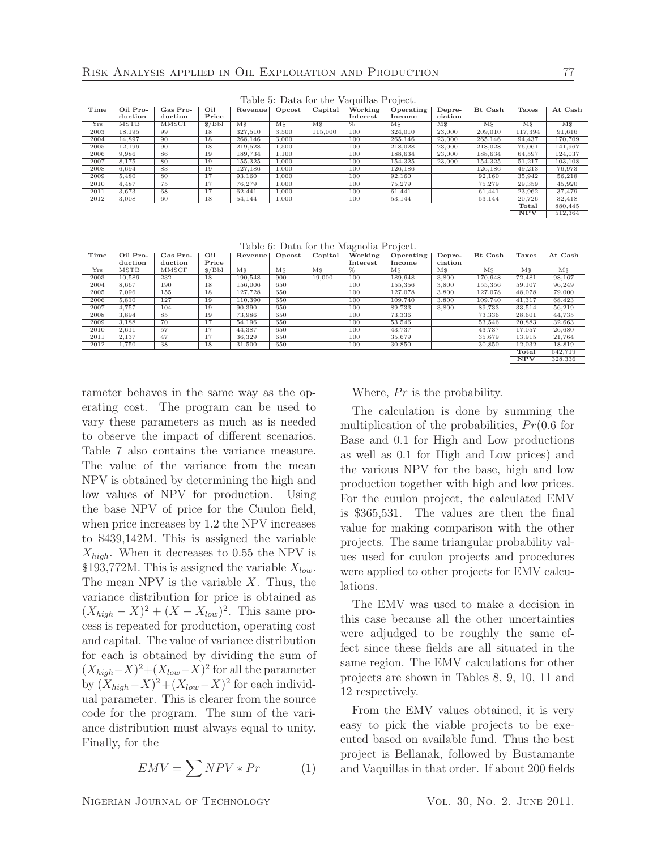|      | rable 5. Data for the vaguinas ribject. |              |       |                     |                        |                |          |                |                     |                        |                |                |
|------|-----------------------------------------|--------------|-------|---------------------|------------------------|----------------|----------|----------------|---------------------|------------------------|----------------|----------------|
| Time | Oil Pro-                                | Gas Pro-     | Oil   | Revenue             | Opcost                 | Capital        | Working  | Operating      | Depre-              | Bt Cash                | Taxes          | At Cash        |
|      | duction                                 | duction      | Price |                     |                        |                | Interest | Income         | ciation             |                        |                |                |
| Yrs  | <b>MSTB</b>                             | <b>MMSCF</b> | S/Bbl | $\overline{\rm MS}$ | $\overline{\text{MS}}$ | M <sub>s</sub> | $\%$     | M <sub>s</sub> | $\overline{\rm MS}$ | $\overline{\text{MS}}$ | M <sub>s</sub> | M <sub>s</sub> |
| 2003 | 18.195                                  | 99           | 18    | 327,510             | 3.500                  | 115,000        | 100      | 324,010        | 23,000              | 209,010                | 117,394        | 91,616         |
| 2004 | 14.897                                  | 90           | 18    | 268,146             | 3,000                  |                | 100      | 265,146        | 23,000              | 265,146                | 94,437         | 170.709        |
| 2005 | 12,196                                  | 90           | 18    | 219,528             | 1,500                  |                | 100      | 218,028        | 23,000              | 218,028                | 76,061         | 141,967        |
| 2006 | 9.986                                   | 86           | 19    | 189,734             | 1.100                  |                | 100      | 188,634        | 23,000              | 188.634                | 64.597         | 124.037        |
| 2007 | 8,175                                   | 80           | 19    | 155,325             | 1.000                  |                | 100      | 154.325        | 23,000              | 154,325                | 51.217         | 103,108        |
| 2008 | 6.694                                   | 83           | 19    | 127.186             | 1.000                  |                | 100      | 126,186        |                     | 126,186                | 49.213         | 76,973         |
| 2009 | 5,480                                   | 80           | 17    | 93,160              | 1,000                  |                | 100      | 92,160         |                     | 92,160                 | 35,942         | 56,218         |
| 2010 | 4.487                                   | 75           | 17    | 76,279              | 1.000                  |                | 100      | 75,279         |                     | 75.279                 | 29,359         | 45,920         |
| 2011 | 3,673                                   | 68           | 17    | 62,441              | 1,000                  |                | 100      | 61.441         |                     | 61.441                 | 23,962         | 37,479         |
| 2012 | 3,008                                   | 60           | 18    | 54.144              | 1,000                  |                | 100      | 53,144         |                     | 53.144                 | 20,726         | 32,418         |
|      |                                         |              |       |                     |                        |                |          |                |                     |                        | Total          | 880,445        |
|      |                                         |              |       |                     |                        |                |          |                |                     |                        | NPV            | 512.364        |

Table 5: Data for the Vaquillas Project.

Table 6: Data for the Magnolia Project.

| Time | $Oil$ Pro- | Gas Pro- | Oil   | Revenue             | Opcost         | Capital        | Working  | Operating      | Depre-              | Bt Cash        | Taxes          | At Cash        |
|------|------------|----------|-------|---------------------|----------------|----------------|----------|----------------|---------------------|----------------|----------------|----------------|
|      | duction    | duction  | Price |                     |                |                | Interest | Income         | ciation             |                |                |                |
| Yrs  | MSTB       | MMSCF    | S/Bbl | $\overline{\rm MS}$ | M <sub>s</sub> | M <sub>s</sub> | %        | M <sub>s</sub> | $\overline{\rm MS}$ | M <sub>s</sub> | M <sub>s</sub> | M <sub>s</sub> |
| 2003 | 10,586     | 232      | 18    | 190.548             | 900            | 19,000         | 100      | 189,648        | 3,800               | 170,648        | 72,481         | 98,167         |
| 2004 | 8,667      | 190      | 18    | 156,006             | 650            |                | 100      | 155,356        | 3,800               | 155,356        | 59,107         | 96,249         |
| 2005 | 7.096      | 155      | 18    | 127.728             | 650            |                | 100      | 127.078        | 3.800               | 127,078        | 48,078         | 79,000         |
| 2006 | 5,810      | 127      | 19    | 110.390             | 650            |                | 100      | 109.740        | 3,800               | 109.740        | 41,317         | 68,423         |
| 2007 | 4.757      | 104      | 19    | 90,390              | 650            |                | 100      | 89.733         | 3.800               | 89.733         | 33,514         | 56,219         |
| 2008 | 3,894      | 85       | 19    | 73,986              | 650            |                | 100      | 73,336         |                     | 73,336         | 28,601         | 44,735         |
| 2009 | 3,188      | 70       | 17    | 54.196              | 650            |                | 100      | 53,546         |                     | 53,546         | 20,883         | 32,663         |
| 2010 | 2,611      | 57       | 17    | 44.387              | 650            |                | 100      | 43,737         |                     | 43.737         | 17.057         | 26,680         |
| 2011 | 2.137      | 47       | 17    | 36,329              | 650            |                | 100      | 35,679         |                     | 35.679         | 13,915         | 21.764         |
| 2012 | 1,750      | 38       | 18    | 31,500              | 650            |                | 100      | 30,850         |                     | 30,850         | 12,032         | 18,819         |
|      |            |          |       |                     |                |                |          |                |                     |                | Total          | 542.719        |
|      |            |          |       |                     |                |                |          |                |                     |                | <b>NPV</b>     | 328,336        |

rameter behaves in the same way as the operating cost. The program can be used to vary these parameters as much as is needed to observe the impact of different scenarios. Table 7 also contains the variance measure. The value of the variance from the mean NPV is obtained by determining the high and low values of NPV for production. Using the base NPV of price for the Cuulon field, when price increases by 1.2 the NPV increases to 439,142M. This is assigned the variable  $X_{high}$ . When it decreases to 0.55 the NPV is \$193,772M. This is assigned the variable  $X_{low}$ . The mean NPV is the variable  $X$ . Thus, the variance distribution for price is obtained as  $(X_{high} - X)^2 + (X - X_{low})^2$ . This same process is repeated for production, operating cost and capital. The value of variance distribution for each is obtained by dividing the sum of  $(X_{high}-X)^2+(X_{low}-X)^2$  for all the parameter by  $(X_{high}-X)^2 + (X_{low}-X)^2$  for each individual parameter. This is clearer from the source code for the program. The sum of the variance distribution must always equal to unity. Finally, for the

$$
EMV = \sum NPV * Pr \tag{1}
$$

Where,  $Pr$  is the probability.

The calculation is done by summing the multiplication of the probabilities,  $Pr(0.6$  for Base and 0.1 for High and Low productions as well as 0.1 for High and Low prices) and the various NPV for the base, high and low production together with high and low prices. For the cuulon project, the calculated EMV is 365,531. The values are then the final value for making comparison with the other projects. The same triangular probability values used for cuulon projects and procedures were applied to other projects for EMV calculations.

The EMV was used to make a decision in this case because all the other uncertainties were adjudged to be roughly the same effect since these fields are all situated in the same region. The EMV calculations for other projects are shown in Tables 8, 9, 10, 11 and 12 respectively.

From the EMV values obtained, it is very easy to pick the viable projects to be executed based on available fund. Thus the best project is Bellanak, followed by Bustamante and Vaquillas in that order. If about 200 fields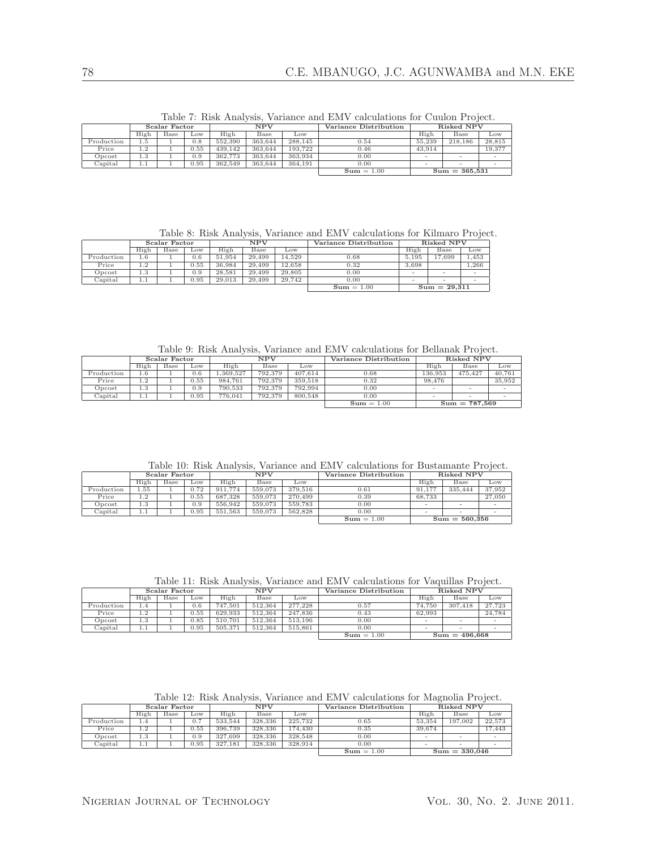|                                                                     |      |               |      |         |            |         | $\alpha$ and $\alpha$ . Then there is, variance and Ent v calculations for Outflott I follow. |        |                   |        |
|---------------------------------------------------------------------|------|---------------|------|---------|------------|---------|-----------------------------------------------------------------------------------------------|--------|-------------------|--------|
|                                                                     |      | Scalar Factor |      |         | <b>NPV</b> |         | Variance Distribution                                                                         |        | <b>Risked NPV</b> |        |
|                                                                     | High | Base          | Low  | High    | Base       | Low     |                                                                                               | High   | Base              | Low    |
| Production                                                          | 1.5  |               | 0.8  | 552,390 | 363.644    | 288,145 | 0.54                                                                                          | 55,239 | 218,186           | 28,815 |
| Price                                                               | 1.2  |               | 0.55 | 439.142 | 363.644    | 193.722 | 0.46                                                                                          | 43.914 |                   | 19,377 |
| Opcost                                                              | 1.3  |               | 0.9  | 362,773 | 363.644    | 363.934 | 0.00                                                                                          |        |                   |        |
| 364.191<br>0.95<br>362,549<br>Capital<br>363.644<br>0.00<br>$1.1\,$ |      |               |      |         |            |         |                                                                                               |        |                   |        |
| $Sum = 1.00$                                                        |      |               |      |         |            |         |                                                                                               |        | $Sum = 365,531$   |        |

Table 7: Risk Analysis, Variance and EMV calculations for Cuulon Project.

Table 8: Risk Analysis, Variance and EMV calculations for Kilmaro Project.

|            |         | Scalar Factor |      |        | NPV    |        | Variance Distribution |       | Risked NPV               |                 |
|------------|---------|---------------|------|--------|--------|--------|-----------------------|-------|--------------------------|-----------------|
|            | High    | <b>Base</b>   | Low  | High   | Base   | Low    |                       | High  | Base                     | $_{\text{Low}}$ |
| Production | $1.6\,$ |               | 0.6  | 51.954 | 29.499 | 14.529 | 0.68                  | 5.195 | 17.699                   | 1.453           |
| Price      | 1.2     |               | 0.55 | 36,984 | 29.499 | 12.658 | 0.32                  | 3,698 |                          | 1.266           |
| Opcost     | 1.3     |               | 0.9  | 28.581 | 29.499 | 29,805 | 0.00                  |       | $\overline{\phantom{a}}$ |                 |
| Capital    | 1.1     |               | 0.95 | 29.013 | 29.499 | 29.742 | 0.00                  |       | $\overline{\phantom{a}}$ |                 |
|            |         |               |      |        |        |        | $Sum = 1.00$          |       | $Sum = 29,311$           |                 |

Table 9: Risk Analysis, Variance and EMV calculations for Bellanak Project.

|               |                  | Scalar Factor |      |          | <b>NPV</b> |         | Variance Distribution |         | Risked NPV      |        |
|---------------|------------------|---------------|------|----------|------------|---------|-----------------------|---------|-----------------|--------|
|               | High             | Base          | LOW  | High     | Base       | Low     |                       | High    | Base            | Low    |
| Production    | 1.6              |               | 0.6  | .369.527 | 792.379    | 407.614 | 0.68                  | 136.953 | 475.427         | 40.761 |
| Price         | ാ                |               | 0.55 | 984.761  | 792.379    | 359.518 | 0.32                  | 98.476  |                 | 35,952 |
| Opcost        | $\sim$<br>1. . 0 |               | 0.9  | 790.533  | 792.379    | 792.994 | 0.00                  |         |                 |        |
| $\it Capital$ | 1.1              |               | 0.95 | 776.041  | 792.379    | 800,548 | 0.00                  |         |                 |        |
|               |                  |               |      |          |            |         | $Sum = 1.00$          |         | $Sum = 787,569$ |        |

Table 10: Risk Analysis, Variance and EMV calculations for Bustamante Project.

|            |      | Scalar Factor |      |         | NPV     |         | Variance Distribution |        | Risked NPV               |        |
|------------|------|---------------|------|---------|---------|---------|-----------------------|--------|--------------------------|--------|
|            | High | Base          | LOW  | High    | Base    | Low     |                       | High   | Base                     | Low    |
| Production | 55   |               | 0.72 | 911,774 | 559,073 | 379.516 | 0.61                  | 91.177 | 335,444                  | 37,952 |
| Price      | 1.2  |               | 0.55 | 687.328 | 559,073 | 270,499 | 0.39                  | 68.733 |                          | 27,050 |
| Opcost     | 1.3  |               | 0.9  | 556,942 | 559,073 | 559.783 | 0.00                  | -      | $\overline{\phantom{a}}$ | -      |
| Capital    | 1.1  |               | 0.95 | 551,563 | 559,073 | 562.828 | 0.00                  | $\sim$ | $\overline{\phantom{a}}$ | -      |
|            |      |               |      |         |         |         | $Sum = 1.00$          |        | $Sum = 560.356$          |        |

Table 11: Risk Analysis, Variance and EMV calculations for Vaquillas Project.

|                                 |      | Scalar Factor |      |         | <b>NPV</b> |         | Variance Distribution |        | Risked NPV               |            |
|---------------------------------|------|---------------|------|---------|------------|---------|-----------------------|--------|--------------------------|------------|
|                                 | High | Base          | Low  | High    | Base       | Low     |                       | High   | Base                     | Low        |
| Production                      | 1.4  |               | 0.6  | 747.501 | 512.364    | 277,228 | 0.57                  | 74.750 | 307,418                  | 27.723     |
| Price                           | 1.2  |               | 0.55 | 629.933 | 512.364    | 247.836 | 0.43                  | 62.993 |                          | 24.784     |
| Opcost                          | 1.3  |               | 0.85 | 510.701 | 512.364    | 513.196 | 0.00                  | -      | $\overline{\phantom{a}}$ | <b>100</b> |
| Capital                         | 1.1  |               | 0.95 | 505.371 | 512.364    | 515.861 | 0.00                  | -      | $\overline{\phantom{a}}$ | -          |
| $Sum = 496,668$<br>$Sum = 1.00$ |      |               |      |         |            |         |                       |        |                          |            |

| Table 12: Risk Analysis, Variance and EMV calculations for Magnolia Project. |  |  |  |
|------------------------------------------------------------------------------|--|--|--|
|------------------------------------------------------------------------------|--|--|--|

|                 | Scalar Factor |      |      | <b>NPV</b> |         |              | Variance Distribution | Risked NPV |         |        |
|-----------------|---------------|------|------|------------|---------|--------------|-----------------------|------------|---------|--------|
|                 | High          | Base | Low  | High       | Base    | Low          |                       | High       | Base    | Low    |
| Production      | 1.4           |      | 0.7  | 533.544    | 328,336 | 225,732      | 0.65                  | 53,354     | 197.002 | 22,573 |
| Price           | റ<br>1.Z      |      | 0.55 | 396,739    | 328,336 | 174.430      | 0.35                  | 39.674     |         | 17.443 |
| Opcost          | $\sim$<br>1.0 |      | 0.9  | 327.699    | 328,336 | 328,548      | 0.00                  |            |         |        |
| $\rm {Capital}$ | 1.1           |      | 0.95 | 327.181    | 328,336 | 328.914      | 0.00                  |            |         |        |
|                 |               |      |      |            |         | $Sum = 1.00$ | $Sum = 330.046$       |            |         |        |